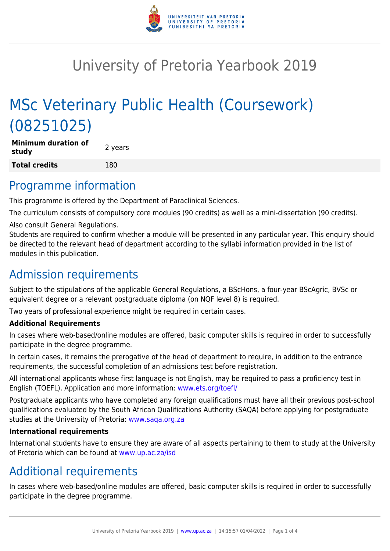

# University of Pretoria Yearbook 2019

# MSc Veterinary Public Health (Coursework) (08251025)

**Minimum duration of study** and **all attorn of the contract of the study Total credits** 180

### Programme information

This programme is offered by the Department of Paraclinical Sciences.

The curriculum consists of compulsory core modules (90 credits) as well as a mini-dissertation (90 credits).

Also consult General Regulations.

Students are required to confirm whether a module will be presented in any particular year. This enquiry should be directed to the relevant head of department according to the syllabi information provided in the list of modules in this publication.

### Admission requirements

Subject to the stipulations of the applicable General Regulations, a BScHons, a four-year BScAgric, BVSc or equivalent degree or a relevant postgraduate diploma (on NQF level 8) is required.

Two years of professional experience might be required in certain cases.

#### **Additional Requirements**

In cases where web-based/online modules are offered, basic computer skills is required in order to successfully participate in the degree programme.

In certain cases, it remains the prerogative of the head of department to require, in addition to the entrance requirements, the successful completion of an admissions test before registration.

All international applicants whose first language is not English, may be required to pass a proficiency test in English (TOEFL). Application and more information: [www.ets.org/toefl/](http://www.ets.org/toefl/)

Postgraduate applicants who have completed any foreign qualifications must have all their previous post-school qualifications evaluated by the South African Qualifications Authority (SAQA) before applying for postgraduate studies at the University of Pretoria: [www.saqa.org.za](http://www.saqa.org.za)

#### **International requirements**

International students have to ensure they are aware of all aspects pertaining to them to study at the University of Pretoria which can be found at [www.up.ac.za/isd](http://www.up.ac.za/isd)

# Additional requirements

In cases where web-based/online modules are offered, basic computer skills is required in order to successfully participate in the degree programme.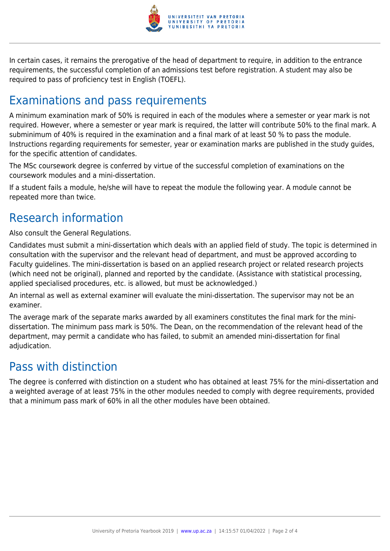

In certain cases, it remains the prerogative of the head of department to require, in addition to the entrance requirements, the successful completion of an admissions test before registration. A student may also be required to pass of proficiency test in English (TOEFL).

# Examinations and pass requirements

A minimum examination mark of 50% is required in each of the modules where a semester or year mark is not required. However, where a semester or year mark is required, the latter will contribute 50% to the final mark. A subminimum of 40% is required in the examination and a final mark of at least 50 % to pass the module. Instructions regarding requirements for semester, year or examination marks are published in the study guides, for the specific attention of candidates.

The MSc coursework degree is conferred by virtue of the successful completion of examinations on the coursework modules and a mini-dissertation.

If a student fails a module, he/she will have to repeat the module the following year. A module cannot be repeated more than twice.

# Research information

Also consult the General Regulations.

Candidates must submit a mini-dissertation which deals with an applied field of study. The topic is determined in consultation with the supervisor and the relevant head of department, and must be approved according to Faculty guidelines. The mini-dissertation is based on an applied research project or related research projects (which need not be original), planned and reported by the candidate. (Assistance with statistical processing, applied specialised procedures, etc. is allowed, but must be acknowledged.)

An internal as well as external examiner will evaluate the mini-dissertation. The supervisor may not be an examiner.

The average mark of the separate marks awarded by all examiners constitutes the final mark for the minidissertation. The minimum pass mark is 50%. The Dean, on the recommendation of the relevant head of the department, may permit a candidate who has failed, to submit an amended mini-dissertation for final adjudication.

#### Pass with distinction

The degree is conferred with distinction on a student who has obtained at least 75% for the mini-dissertation and a weighted average of at least 75% in the other modules needed to comply with degree requirements, provided that a minimum pass mark of 60% in all the other modules have been obtained.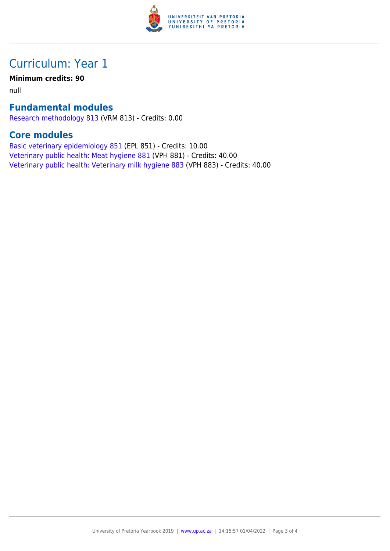

### Curriculum: Year 1

#### **Minimum credits: 90**

null

#### **Fundamental modules**

[Research methodology 813](https://www.up.ac.za/yearbooks/2019/modules/view/VRM 813) (VRM 813) - Credits: 0.00

#### **Core modules**

[Basic veterinary epidemiology 851](https://www.up.ac.za/yearbooks/2019/modules/view/EPL 851) (EPL 851) - Credits: 10.00 [Veterinary public health: Meat hygiene 881](https://www.up.ac.za/yearbooks/2019/modules/view/VPH 881) (VPH 881) - Credits: 40.00 [Veterinary public health: Veterinary milk hygiene 883](https://www.up.ac.za/yearbooks/2019/modules/view/VPH 883) (VPH 883) - Credits: 40.00